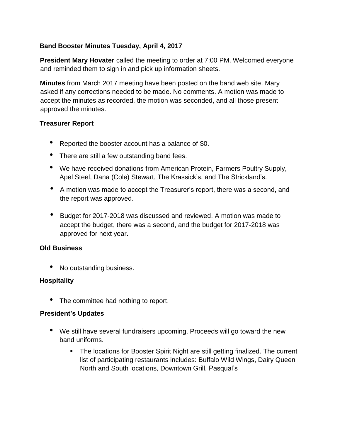# **Band Booster Minutes Tuesday, April 4, 2017**

**President Mary Hovater** called the meeting to order at 7:00 PM. Welcomed everyone and reminded them to sign in and pick up information sheets.

**Minutes** from March 2017 meeting have been posted on the band web site. Mary asked if any corrections needed to be made. No comments. A motion was made to accept the minutes as recorded, the motion was seconded, and all those present approved the minutes.

#### **Treasurer Report**

- Reported the booster account has a balance of \$0.
- There are still a few outstanding band fees.
- We have received donations from American Protein, Farmers Poultry Supply, Apel Steel, Dana (Cole) Stewart, The Krassick's, and The Strickland's.
- A motion was made to accept the Treasurer's report, there was a second, and the report was approved.
- Budget for 2017-2018 was discussed and reviewed. A motion was made to accept the budget, there was a second, and the budget for 2017-2018 was approved for next year.

#### **Old Business**

• No outstanding business.

## **Hospitality**

• The committee had nothing to report.

#### **President's Updates**

- We still have several fundraisers upcoming. Proceeds will go toward the new band uniforms.
	- The locations for Booster Spirit Night are still getting finalized. The current list of participating restaurants includes: Buffalo Wild Wings, Dairy Queen North and South locations, Downtown Grill, Pasqual's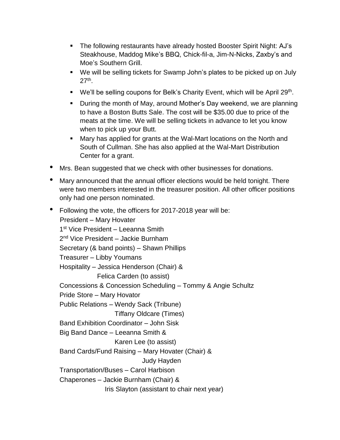- The following restaurants have already hosted Booster Spirit Night: AJ's Steakhouse, Maddog Mike's BBQ, Chick-fil-a, Jim-N-Nicks, Zaxby's and Moe's Southern Grill.
- We will be selling tickets for Swamp John's plates to be picked up on July 27th .
- We'll be selling coupons for Belk's Charity Event, which will be April 29<sup>th</sup>.
- During the month of May, around Mother's Day weekend, we are planning to have a Boston Butts Sale. The cost will be \$35.00 due to price of the meats at the time. We will be selling tickets in advance to let you know when to pick up your Butt.
- Mary has applied for grants at the Wal-Mart locations on the North and South of Cullman. She has also applied at the Wal-Mart Distribution Center for a grant.
- Mrs. Bean suggested that we check with other businesses for donations.
- Mary announced that the annual officer elections would be held tonight. There were two members interested in the treasurer position. All other officer positions only had one person nominated.
- Following the vote, the officers for 2017-2018 year will be: President – Mary Hovater 1st Vice President - Leeanna Smith 2<sup>nd</sup> Vice President – Jackie Burnham Secretary (& band points) – Shawn Phillips Treasurer – Libby Youmans Hospitality – Jessica Henderson (Chair) & Felica Carden (to assist) Concessions & Concession Scheduling – Tommy & Angie Schultz Pride Store – Mary Hovator Public Relations – Wendy Sack (Tribune) Tiffany Oldcare (Times) Band Exhibition Coordinator – John Sisk Big Band Dance – Leeanna Smith & Karen Lee (to assist) Band Cards/Fund Raising – Mary Hovater (Chair) & Judy Hayden Transportation/Buses – Carol Harbison Chaperones – Jackie Burnham (Chair) & Iris Slayton (assistant to chair next year)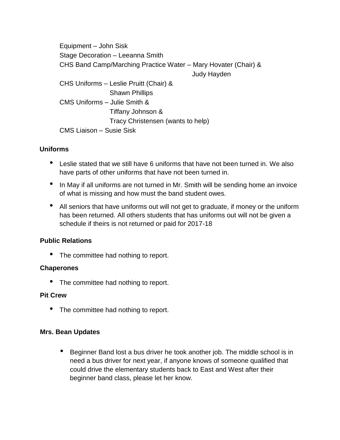Equipment – John Sisk Stage Decoration – Leeanna Smith CHS Band Camp/Marching Practice Water – Mary Hovater (Chair) & Judy Hayden CHS Uniforms – Leslie Pruitt (Chair) & Shawn Phillips CMS Uniforms – Julie Smith & Tiffany Johnson & Tracy Christensen (wants to help) CMS Liaison – Susie Sisk

# **Uniforms**

- Leslie stated that we still have 6 uniforms that have not been turned in. We also have parts of other uniforms that have not been turned in.
- In May if all uniforms are not turned in Mr. Smith will be sending home an invoice of what is missing and how must the band student owes.
- All seniors that have uniforms out will not get to graduate, if money or the uniform has been returned. All others students that has uniforms out will not be given a schedule if theirs is not returned or paid for 2017-18

## **Public Relations**

• The committee had nothing to report.

## **Chaperones**

• The committee had nothing to report.

## **Pit Crew**

• The committee had nothing to report.

## **Mrs. Bean Updates**

• Beginner Band lost a bus driver he took another job. The middle school is in need a bus driver for next year, if anyone knows of someone qualified that could drive the elementary students back to East and West after their beginner band class, please let her know.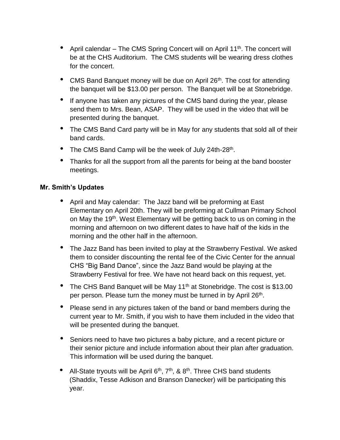- April calendar The CMS Spring Concert will on April 11<sup>th</sup>. The concert will be at the CHS Auditorium. The CMS students will be wearing dress clothes for the concert.
- CMS Band Banquet money will be due on April 26<sup>th</sup>. The cost for attending the banquet will be \$13.00 per person. The Banquet will be at Stonebridge.
- If anyone has taken any pictures of the CMS band during the year, please send them to Mrs. Bean, ASAP. They will be used in the video that will be presented during the banquet.
- The CMS Band Card party will be in May for any students that sold all of their band cards.
- The CMS Band Camp will be the week of July 24th-28<sup>th</sup>.
- Thanks for all the support from all the parents for being at the band booster meetings.

## **Mr. Smith's Updates**

- April and May calendar: The Jazz band will be preforming at East Elementary on April 20th. They will be preforming at Cullman Primary School on May the 19<sup>th</sup>. West Elementary will be getting back to us on coming in the morning and afternoon on two different dates to have half of the kids in the morning and the other half in the afternoon.
- The Jazz Band has been invited to play at the Strawberry Festival. We asked them to consider discounting the rental fee of the Civic Center for the annual CHS "Big Band Dance", since the Jazz Band would be playing at the Strawberry Festival for free. We have not heard back on this request, yet.
- The CHS Band Banquet will be May 11<sup>th</sup> at Stonebridge. The cost is \$13.00 per person. Please turn the money must be turned in by April 26<sup>th</sup>.
- Please send in any pictures taken of the band or band members during the current year to Mr. Smith, if you wish to have them included in the video that will be presented during the banquet.
- Seniors need to have two pictures a baby picture, and <sup>a</sup> recent picture or their senior picture and include information about their plan after graduation. This information will be used during the banquet.
- All-State tryouts will be April  $6<sup>th</sup>$ ,  $7<sup>th</sup>$ , &  $8<sup>th</sup>$ . Three CHS band students (Shaddix, Tesse Adkison and Branson Danecker) will be participating this year.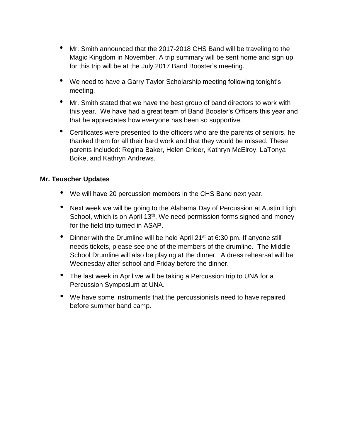- Mr. Smith announced that the 2017-2018 CHS Band will be traveling to the Magic Kingdom in November. A trip summary will be sent home and sign up for this trip will be at the July 2017 Band Booster's meeting.
- We need to have a Garry Taylor Scholarship meeting following tonight's meeting.
- Mr. Smith stated that we have the best group of band directors to work with this year. We have had a great team of Band Booster's Officers this year and that he appreciates how everyone has been so supportive.
- Certificates were presented to the officers who are the parents of seniors, he thanked them for all their hard work and that they would be missed. These parents included: Regina Baker, Helen Crider, Kathryn McElroy, LaTonya Boike, and Kathryn Andrews.

#### **Mr. Teuscher Updates**

- We will have 20 percussion members in the CHS Band next year.
- Next week we will be going to the Alabama Day of Percussion at Austin High School, which is on April 13<sup>th</sup>. We need permission forms signed and money for the field trip turned in ASAP.
- Dinner with the Drumline will be held April 21<sup>st</sup> at 6:30 pm. If anyone still needs tickets, please see one of the members of the drumline. The Middle School Drumline will also be playing at the dinner. A dress rehearsal will be Wednesday after school and Friday before the dinner.
- The last week in April we will be taking a Percussion trip to UNA for a Percussion Symposium at UNA.
- We have some instruments that the percussionists need to have repaired before summer band camp.